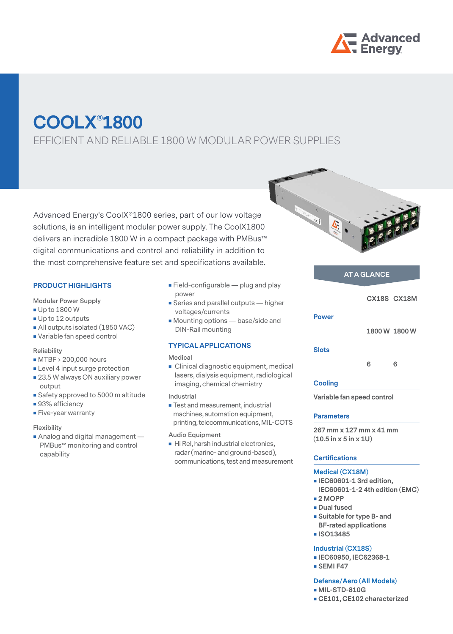

# **COOLX**®**1800**

EFFICIENT AND RELIABLE 1800 W MODULAR POWER SUPPLIES

Advanced Energy's CoolX®1800 series, part of our low voltage solutions, is an intelligent modular power supply. The CoolX1800 delivers an incredible 1800 W in a compact package with PMBus™ digital communications and control and reliability in addition to the most comprehensive feature set and specifications available.

## **PRODUCT HIGHLIGHTS**

**Modular Power Supply**

- **Up to 1800 W**
- Up to 12 outputs
- All outputs isolated (1850 VAC)
- Variable fan speed control

#### **Reliability**

- MTBF > 200,000 hours
- **Level 4 input surge protection**
- 23.5 W always ON auxiliary power output
- Safety approved to 5000 m altitude
- 93% efficiency
- **Five-year warranty**

#### **Flexibility**

Analog and digital management -PMBus™ monitoring and control capability

- $\blacksquare$  Field-configurable plug and play power
- **Series and parallel outputs higher** voltages/currents
- Mounting options base/side and DIN-Rail mounting

# **TYPICAL APPLICATIONS**

#### **Medical**

- **Clinical diagnostic equipment, medical** lasers, dialysis equipment, radiological imaging, chemical chemistry
- **Industrial**
- **Test and measurement, industrial** machines, automation equipment, printing, telecommunications, MIL-COTS
- **Audio Equipment**
- Hi Rel, harsh industrial electronics, radar (marine- and ground-based), communications, test and measurement



## **AT A GLANCE**

 **CX18S CX18M**

### **Power**

 **1800 W 1800 W**

#### **Slots**

 **6 6**

#### **Cooling**

**Variable fan speed control**

#### **Parameters**

**267 mm x 127 mm x 41 mm (10.5 in x 5 in x 1U)** 

## **Certifications**

## **Medical (CX18M)**

- **IEC60601-1 3rd edition, IEC60601-1-2 4th edition (EMC)**
- **2 MOPP**
- **Dual fused**
- **s** Suitable for type B- and **BF-rated applications**
- **ISO13485**

#### **Industrial (CX18S)**

- **IEC60950, IEC62368-1**
- **SEMI F47**

## **Defense/Aero (All Models)**

- **MIL-STD-810G**
- **CE101, CE102 characterized**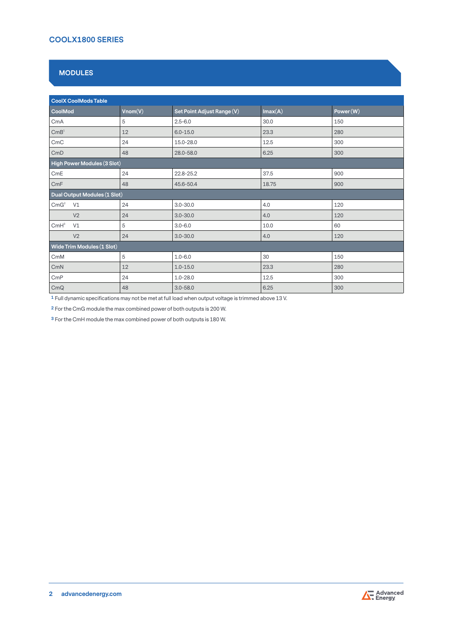# **MODULES**

| <b>CoolX CoolMods Table</b>            |         |                            |         |          |  |
|----------------------------------------|---------|----------------------------|---------|----------|--|
| CoolMod                                | Vnom(V) | Set Point Adjust Range (V) | Imax(A) | Power(W) |  |
| CmA                                    | 5       | $2.5 - 6.0$                | 30.0    | 150      |  |
| $\mathsf{CmB}^{\scriptscriptstyle{1}}$ | 12      | $6.0 - 15.0$               | 23.3    | 280      |  |
| CmC                                    | 24      | 15.0-28.0                  | 12.5    | 300      |  |
| CmD                                    | 48      | 28.0-58.0                  | 6.25    | 300      |  |
| High Power Modules (3 Slot)            |         |                            |         |          |  |
| CmE                                    | 24      | 22.8-25.2                  | 37.5    | 900      |  |
| CmF                                    | 48      | 45.6-50.4                  | 18.75   | 900      |  |
| Dual Output Modules (1 Slot)           |         |                            |         |          |  |
| CmG <sup>2</sup><br>V1                 | 24      | $3.0 - 30.0$               | 4.0     | 120      |  |
| V <sub>2</sub>                         | 24      | $3.0 - 30.0$               | 4.0     | 120      |  |
| $CmH^3$<br>V1                          | 5       | $3.0 - 6.0$                | 10.0    | 60       |  |
| V <sub>2</sub>                         | 24      | $3.0 - 30.0$               | 4.0     | 120      |  |
| Wide Trim Modules (1 Slot)             |         |                            |         |          |  |
| CmM                                    | 5       | $1.0 - 6.0$                | 30      | 150      |  |
| CmN                                    | 12      | $1.0 - 15.0$               | 23.3    | 280      |  |
| CmP                                    | 24      | $1.0 - 28.0$               | 12.5    | 300      |  |
| CmQ                                    | 48      | $3.0 - 58.0$               | 6.25    | 300      |  |

**1** Full dynamic specifications may not be met at full load when output voltage is trimmed above 13 V.

**2** For the CmG module the max combined power of both outputs is 200 W.

**3** For the CmH module the max combined power of both outputs is 180 W.

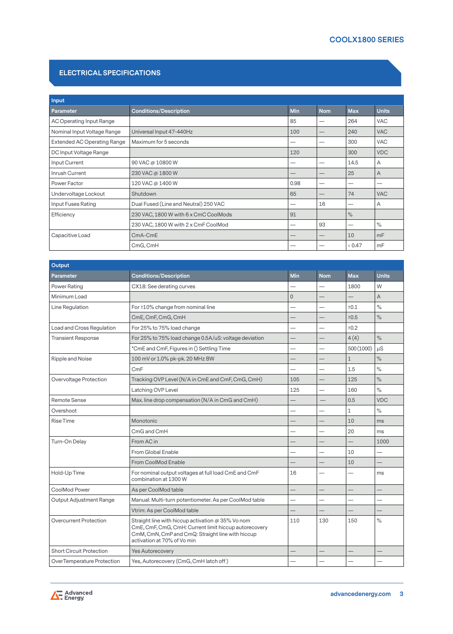## **ELECTRICAL SPECIFICATIONS**

| Input                              |                                       |            |                                 |            |              |
|------------------------------------|---------------------------------------|------------|---------------------------------|------------|--------------|
| Parameter                          | <b>Conditions/Description</b>         | <b>Min</b> | <b>Nom</b>                      | <b>Max</b> | <b>Units</b> |
| AC Operating Input Range           |                                       | 85         | –                               | 264        | <b>VAC</b>   |
| Nominal Input Voltage Range        | Universal Input 47-440Hz              | 100        |                                 | 240        | <b>VAC</b>   |
| <b>Extended AC Operating Range</b> | Maximum for 5 seconds                 |            |                                 | 300        | <b>VAC</b>   |
| DC Input Voltage Range             |                                       | 120        |                                 | 300        | <b>VDC</b>   |
| Input Current                      | 90 VAC @ 10800 W                      |            | --                              | 14.5       | A            |
| Inrush Current                     | 230 VAC @ 1800 W                      |            |                                 | 25         | A            |
| Power Factor                       | 120 VAC @ 1400 W                      | 0.98       |                                 |            |              |
| Undervoltage Lockout               | Shutdown                              | 65         |                                 | 74         | <b>VAC</b>   |
| Input Fuses Rating                 | Dual Fused (Line and Neutral) 250 VAC |            | 16                              |            | Α            |
| Efficiency                         | 230 VAC, 1800 W with 6 x CmC CoolMods | 91         |                                 | $\%$       |              |
|                                    | 230 VAC, 1800 W with 2 x CmF CoolMod  |            | 93                              |            | $\%$         |
| Capacitive Load                    | $CmA$ - $CmE$                         |            | $\hspace{0.1mm}-\hspace{0.1mm}$ | 10         | mF           |
|                                    | CmG, CmH                              |            |                                 | 0.47       | mF           |

| <b>Output</b>                   |                                                                                                                                                                                               |                          |            |              |                |
|---------------------------------|-----------------------------------------------------------------------------------------------------------------------------------------------------------------------------------------------|--------------------------|------------|--------------|----------------|
| Parameter                       | <b>Conditions/Description</b>                                                                                                                                                                 | Min                      | <b>Nom</b> | <b>Max</b>   | <b>Units</b>   |
| Power Rating                    | CX18: See derating curves                                                                                                                                                                     |                          |            | 1800         | W              |
| Minimum Load                    |                                                                                                                                                                                               | $\Omega$                 |            |              | $\overline{A}$ |
| Line Regulation                 | For ±10% change from nominal line                                                                                                                                                             |                          |            | ±0.1         | $\%$           |
|                                 | CmE, CmF, CmG, CmH                                                                                                                                                                            |                          |            | ±0.5         | $\%$           |
| Load and Cross Regulation       | For 25% to 75% load change                                                                                                                                                                    |                          |            | ±0.2         |                |
| <b>Transient Response</b>       | For 25% to 75% load change 0.5A/uS: voltage deviation                                                                                                                                         |                          |            | 4(4)         | $\%$           |
|                                 | *CmE and CmF, Figures in () Settling Time                                                                                                                                                     |                          |            | 500 (1000)   | μS             |
| Ripple and Noise                | 100 mV or 1.0% pk-pk. 20 MHz BW                                                                                                                                                               |                          |            | $\mathbf{1}$ | $\%$           |
|                                 | CmF                                                                                                                                                                                           |                          |            | 1.5          | $\%$           |
| Overvoltage Protection          | Tracking OVP Level (N/A in CmE and CmF, CmG, CmH)                                                                                                                                             | 105                      |            | 125          | $\%$           |
|                                 | Latching OVP Level                                                                                                                                                                            | 125                      |            | 160          | $\%$           |
| Remote Sense                    | Max. line drop compensation (N/A in CmG and CmH)                                                                                                                                              |                          |            | 0.5          | <b>VDC</b>     |
| Overshoot                       |                                                                                                                                                                                               |                          |            | 1            | $\%$           |
| Rise Time                       | Monotonic                                                                                                                                                                                     |                          |            | 10           | ms             |
|                                 | CmG and CmH                                                                                                                                                                                   |                          |            | 20           | ms             |
| Turn-On Delay                   | From AC in                                                                                                                                                                                    |                          |            |              | 1000           |
|                                 | From Global Enable                                                                                                                                                                            |                          |            | 10           |                |
|                                 | From CoolMod Enable                                                                                                                                                                           |                          |            | 10           |                |
| Hold-Up Time                    | For nominal output voltages at full load CmE and CmF<br>combination at 1300 W                                                                                                                 | 16                       |            |              | ms             |
| CoolMod Power                   | As per CoolMod table                                                                                                                                                                          | $\overline{\phantom{0}}$ |            |              | —              |
| <b>Output Adjustment Range</b>  | Manual: Multi-turn potentiometer. As per CoolMod table                                                                                                                                        |                          |            |              |                |
|                                 | Vtrim: As per CoolMod table                                                                                                                                                                   |                          |            |              |                |
| Overcurrent Protection          | Straight line with hiccup activation @ 35% Vo nom<br>CmE, CmF, CmG, CmH: Current limit hiccup autorecovery<br>CmM, CmN, CmP and CmQ: Straight line with hiccup<br>activation at 70% of Vo min | 110                      | 130        | 150          | $\%$           |
| <b>Short Circuit Protection</b> | <b>Yes Autorecovery</b>                                                                                                                                                                       |                          |            |              |                |
| OverTemperature Protection      | Yes, Autorecovery (CmG, CmH latch off)                                                                                                                                                        |                          |            |              |                |

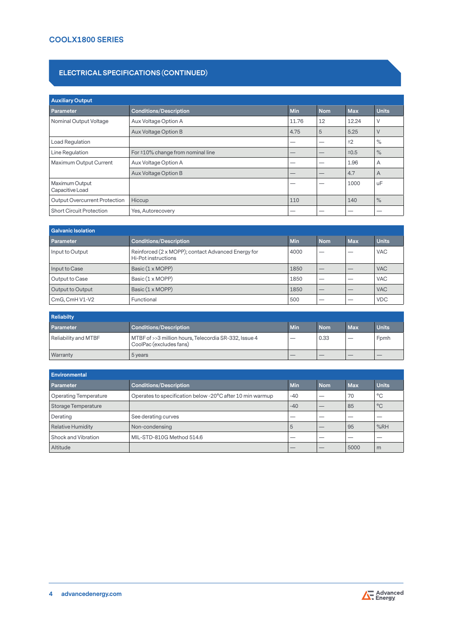## **ELECTRICAL SPECIFICATIONS (CONTINUED)**

| <b>Auxiliary Output</b>              |                                         |            |            |            |              |
|--------------------------------------|-----------------------------------------|------------|------------|------------|--------------|
| Parameter                            | <b>Conditions/Description</b>           | <b>Min</b> | <b>Nom</b> | <b>Max</b> | <b>Units</b> |
| Nominal Output Voltage               | Aux Voltage Option A                    | 11.76      | 12         | 12.24      | V            |
|                                      | Aux Voltage Option B                    | 4.75       | 5          | 5.25       | V            |
| <b>Load Regulation</b>               |                                         | –          | –          | ±2         | $\%$         |
| Line Regulation                      | For $\pm 10\%$ change from nominal line |            | –          | ±0.5       | $\%$         |
| Maximum Output Current               | Aux Voltage Option A                    |            | –          | 1.96       | A            |
|                                      | Aux Voltage Option B                    | –          | –          | 4.7        | A            |
| Maximum Output<br>Capacitive Load    |                                         |            |            | 1000       | uF           |
| <b>Output Overcurrent Protection</b> | <b>Hiccup</b>                           | 110        |            | 140        | $\%$         |
| <b>Short Circuit Protection</b>      | Yes, Autorecovery                       |            |            |            |              |

| <b>Galvanic Isolation</b> |                                                                           |            |            |            |              |
|---------------------------|---------------------------------------------------------------------------|------------|------------|------------|--------------|
| <b>Parameter</b>          | <b>Conditions/Description</b>                                             | <b>Min</b> | <b>Nom</b> | <b>Max</b> | <b>Units</b> |
| Input to Output           | Reinforced (2 x MOPP); contact Advanced Energy for<br>Hi-Pot instructions | 4000       |            |            | <b>VAC</b>   |
| Input to Case             | Basic (1 x MOPP)                                                          | 1850       |            |            | <b>VAC</b>   |
| Output to Case            | Basic (1 x MOPP)                                                          | 1850       |            |            | <b>VAC</b>   |
| Output to Output          | Basic (1 x MOPP)                                                          | 1850       | $-$        |            | <b>VAC</b>   |
| CmG, CmH V1-V2            | Functional                                                                | 500        |            |            | <b>VDC</b>   |

| <b>Reliabilty</b>    |                                                                                  |     |            |            |              |  |
|----------------------|----------------------------------------------------------------------------------|-----|------------|------------|--------------|--|
| Parameter            | <b>Conditions/Description</b>                                                    | Min | <b>Nom</b> | <b>Max</b> | <b>Units</b> |  |
| Reliability and MTBF | MTBF of >>3 million hours, Telecordia SR-332, Issue 4<br>CoolPac (excludes fans) | __  | 0.33       | __         | Fomh         |  |
| <b>Warranty</b>      | 5 years                                                                          |     |            |            |              |  |

| Environmental                |                                                           |                          |            |            |              |
|------------------------------|-----------------------------------------------------------|--------------------------|------------|------------|--------------|
| Parameter                    | <b>Conditions/Description</b>                             | Min                      | <b>Nom</b> | <b>Max</b> | <b>Units</b> |
| <b>Operating Temperature</b> | Operates to specification below -20°C after 10 min warmup | $-40$                    |            | 70         | °C           |
| Storage Temperature          |                                                           | $-40$                    | __         | 85         | $^{\circ}$ C |
| Derating                     | See derating curves                                       | __                       |            |            |              |
| <b>Relative Humidity</b>     | Non-condensing                                            | b                        |            | 95         | %RH          |
| Shock and Vibration          | MIL-STD-810G Method 514.6                                 |                          |            |            |              |
| Altitude                     |                                                           | $\overline{\phantom{a}}$ | __         | 5000       | m            |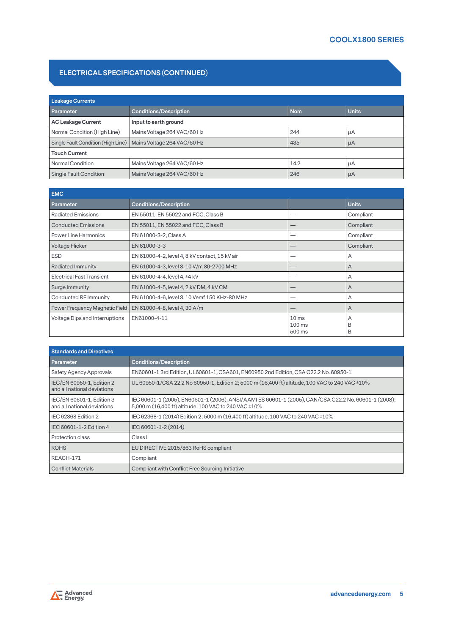# **ELECTRICAL SPECIFICATIONS (CONTINUED)**

| Leakage Currents                   |                               |            |              |  |  |
|------------------------------------|-------------------------------|------------|--------------|--|--|
| <b>Parameter</b>                   | <b>Conditions/Description</b> | <b>Nom</b> | <b>Units</b> |  |  |
| AC Leakage Current                 | Input to earth ground         |            |              |  |  |
| Normal Condition (High Line)       | Mains Voltage 264 VAC/60 Hz   | 244        | μA           |  |  |
| Single Fault Condition (High Line) | Mains Voltage 264 VAC/60 Hz   | 435        | $\mu A$      |  |  |
| <b>Touch Current</b>               |                               |            |              |  |  |
| Normal Condition                   | Mains Voltage 264 VAC/60 Hz   | 14.2       | μA           |  |  |
| Single Fault Condition             | Mains Voltage 264 VAC/60 Hz   | 246        | $\mu A$      |  |  |

| <b>EMC</b>                            |                                                |                                        |                |
|---------------------------------------|------------------------------------------------|----------------------------------------|----------------|
| Parameter                             | <b>Conditions/Description</b>                  |                                        | <b>Units</b>   |
| <b>Radiated Emissions</b>             | EN 55011, EN 55022 and FCC, Class B            |                                        | Compliant      |
| <b>Conducted Emissions</b>            | EN 55011, EN 55022 and FCC, Class B            |                                        | Compliant      |
| <b>Power Line Harmonics</b>           | EN 61000-3-2, Class A                          |                                        | Compliant      |
| <b>Voltage Flicker</b>                | EN 61000-3-3                                   |                                        | Compliant      |
| <b>ESD</b>                            | EN 61000-4-2, level 4, 8 kV contact, 15 kV air |                                        | A              |
| <b>Radiated Immunity</b>              | EN 61000-4-3, level 3, 10 V/m 80-2700 MHz      |                                        | $\overline{A}$ |
| <b>Electrical Fast Transient</b>      | EN 61000-4-4, level 4, ±4 kV                   |                                        | A              |
| Surge Immunity                        | EN 61000-4-5, level 4, 2 kV DM, 4 kV CM        |                                        | A              |
| Conducted RF Immunity                 | EN 61000-4-6, level 3, 10 Vemf 150 KHz-80 MHz  |                                        | A              |
| Power Frequency Magnetic Field        | EN 61000-4-8, level 4, 30 A/m                  |                                        | A              |
| <b>Voltage Dips and Interruptions</b> | EN61000-4-11                                   | 10 <sub>ms</sub><br>$100$ ms<br>500 ms | A<br>B<br>B    |

| <b>Standards and Directives</b>                          |                                                                                                                                                               |
|----------------------------------------------------------|---------------------------------------------------------------------------------------------------------------------------------------------------------------|
| Parameter                                                | <b>Conditions/Description</b>                                                                                                                                 |
| Safety Agency Approvals                                  | EN60601-1 3rd Edition, UL60601-1, CSA601, EN60950 2nd Edition, CSA C22.2 No. 60950-1                                                                          |
| IEC/EN 60950-1, Edition 2<br>and all national deviations | UL 60950-1/CSA 22.2 No 60950-1, Edition 2; 5000 m (16,400 ft) altitude, 100 VAC to 240 VAC ±10%                                                               |
| IEC/EN 60601-1, Edition 3<br>and all national deviations | IEC 60601-1 (2005), EN60601-1 (2006), ANSI/AAMI ES 60601-1 (2005), CAN/CSA C22.2 No. 60601-1 (2008);<br>5,000 m (16,400 ft) altitude, 100 VAC to 240 VAC ±10% |
| IEC 62368 Edition 2                                      | IEC 62368-1 (2014) Edition 2; 5000 m (16,400 ft) altitude, 100 VAC to 240 VAC ±10%                                                                            |
| IEC 60601-1-2 Edition 4                                  | IEC 60601-1-2 (2014)                                                                                                                                          |
| Protection class                                         | Class I                                                                                                                                                       |
| <b>ROHS</b>                                              | EU DIRECTIVE 2015/863 RoHS compliant                                                                                                                          |
| REACH-171                                                | Compliant                                                                                                                                                     |
| <b>Conflict Materials</b>                                | Compliant with Conflict Free Sourcing Initiative                                                                                                              |

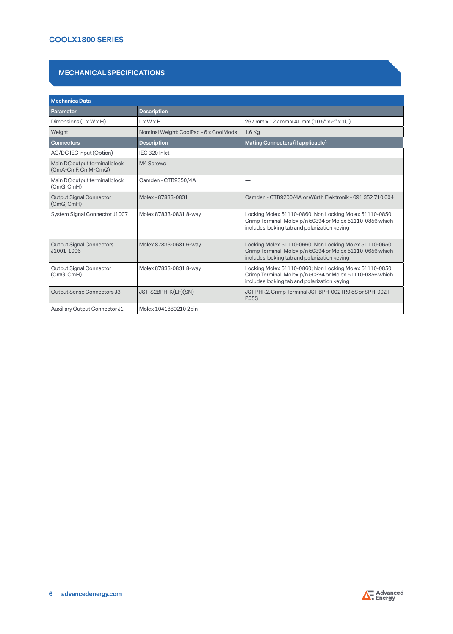# **MECHANICAL SPECIFICATIONS**

| <b>Mechanica Data</b>                               |                                        |                                                                                                                                                                      |
|-----------------------------------------------------|----------------------------------------|----------------------------------------------------------------------------------------------------------------------------------------------------------------------|
| <b>Parameter</b>                                    | <b>Description</b>                     |                                                                                                                                                                      |
| Dimensions $(L \times W \times H)$                  | $L \times W \times H$                  | 267 mm x 127 mm x 41 mm (10.5" x 5" x 1U)                                                                                                                            |
| Weight                                              | Nominal Weight: CoolPac + 6 x CoolMods | $1.6$ Kg                                                                                                                                                             |
| <b>Connectors</b>                                   | <b>Description</b>                     | Mating Connectors (if applicable)                                                                                                                                    |
| AC/DC IEC input (Option)                            | IEC 320 Inlet                          |                                                                                                                                                                      |
| Main DC output terminal block<br>(CmA-CmF, CmM-CmQ) | M4 Screws                              |                                                                                                                                                                      |
| Main DC output terminal block<br>(CmG, CmH)         | Camden - CTB9350/4A                    | -                                                                                                                                                                    |
| <b>Output Signal Connector</b><br>(CmG, CmH)        | Molex - 87833-0831                     | Camden - CTB9200/4A or Würth Elektronik - 691 352 710 004                                                                                                            |
| System Signal Connector J1007                       | Molex 87833-0831 8-way                 | Locking Molex 51110-0860; Non Locking Molex 51110-0850;<br>Crimp Terminal: Molex p/n 50394 or Molex 51110-0856 which<br>includes locking tab and polarization keying |
| <b>Output Signal Connectors</b><br>J1001-1006       | Molex 87833-0631 6-way                 | Locking Molex 51110-0660; Non Locking Molex 51110-0650;<br>Crimp Terminal: Molex p/n 50394 or Molex 51110-0656 which<br>includes locking tab and polarization keying |
| Output Signal Connector<br>(CmG, CmH)               | Molex 87833-0831 8-way                 | Locking Molex 51110-0860; Non Locking Molex 51110-0850<br>Crimp Terminal: Molex p/n 50394 or Molex 51110-0856 which<br>includes locking tab and polarization keying  |
| Output Sense Connectors J3                          | JST-S2BPH-K(LF)(SN)                    | JST PHR2. Crimp Terminal JST BPH-002TP.0.5S or SPH-002T-<br><b>P.05S</b>                                                                                             |
| Auxiliary Output Connector J1                       | Molex 1041880210 2pin                  |                                                                                                                                                                      |

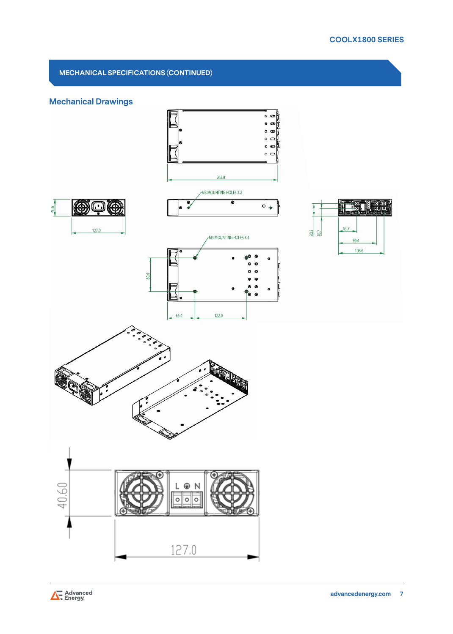# **MECHANICAL SPECIFICATIONS (CONTINUED)**

# **Mechanical Drawings**



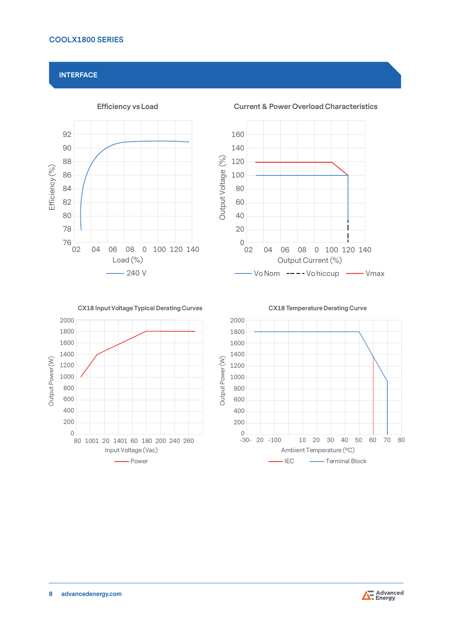## **INTERFACE**





**CX18 Input Voltage Typical Derating Curves**



**CX18 Temperature Derating Curve**



**Current & Power Overload Characteristics**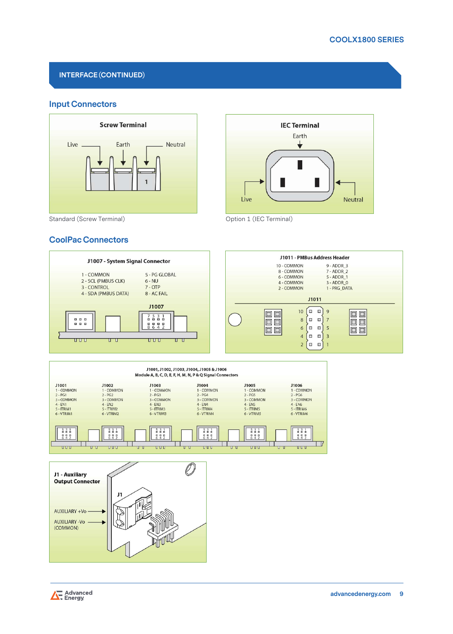# **INTERFACE (CONTINUED)**

# **Input Connectors**





# **CoolPac Connectors**







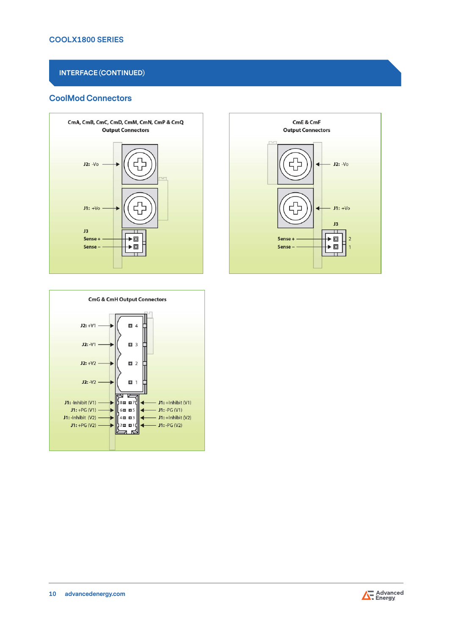# **INTERFACE (CONTINUED)**

# **CoolMod Connectors**





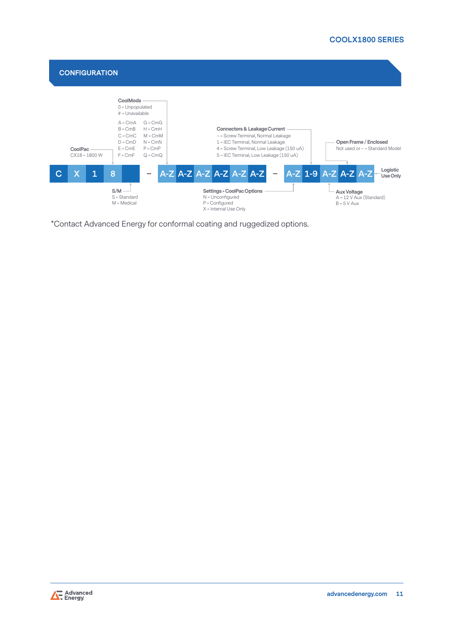

\*Contact Advanced Energy for conformal coating and ruggedized options.